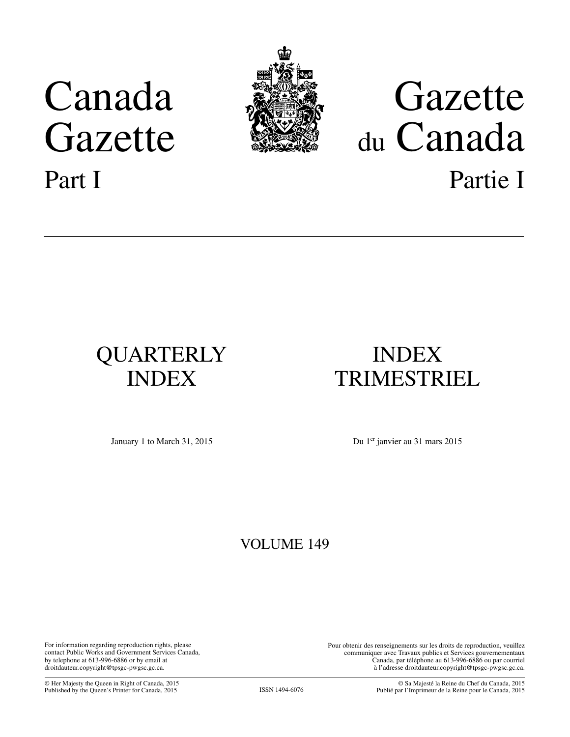# <span id="page-0-0"></span>Canada Gazette Part I



# Gazette du Canada Partie I

# QUARTERLY INDEX

## INDEX TRIMESTRIEL

January 1 to March 31, 2015 Du 1er janvier au 31 mars 2015

### VOLUME 149

For information regarding reproduction rights, please contact Public Works and Government Services Canada, by telephone at 613-996-6886 or by email at droitdauteur.copyright@tpsgc-pwgsc.gc.ca.

Pour obtenir des renseignements sur les droits de reproduction, veuillez communiquer avec Travaux publics et Services gouvernementaux Canada, par téléphone au 613-996-6886 ou par courriel à l'adresse droitdauteur.copyright@tpsgc-pwgsc.gc.ca.

© Her Majesty the Queen in Right of Canada, 2015 Published by the Queen's Printer for Canada, 2015 ISSN 1494-6076

© Sa Majesté la Reine du Chef du Canada, 2015 Publié par l'Imprimeur de la Reine pour le Canada, 2015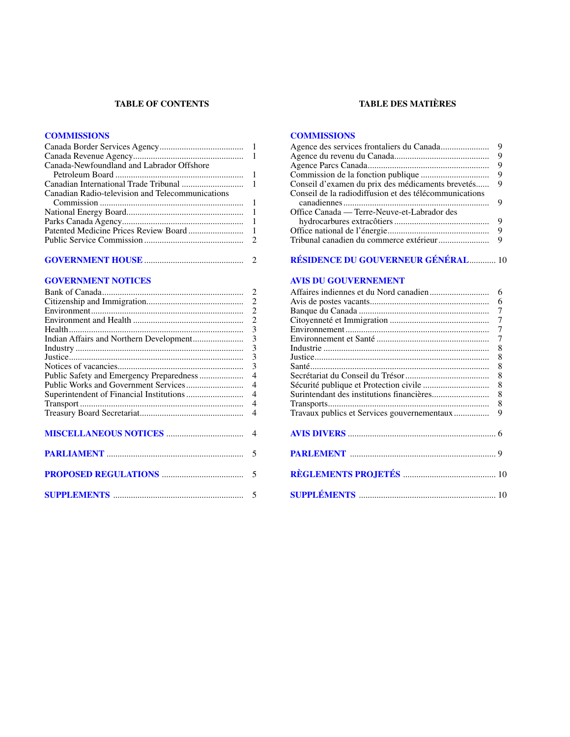#### **TABLE OF CONTENTS**

#### **[COMMISSIONS](#page-2-0)**

| Canada-Newfoundland and Labrador Offshore        |  |
|--------------------------------------------------|--|
|                                                  |  |
|                                                  |  |
| Canadian Radio-television and Telecommunications |  |
|                                                  |  |
|                                                  |  |
|                                                  |  |
|                                                  |  |
|                                                  |  |
|                                                  |  |

#### **[GOVERNMENT NOTICES](#page-3-0)**

#### **TABLE DES MATIÈRES**

#### **[COMMISSIONS](#page-10-0)**

|                                                        | 9 |
|--------------------------------------------------------|---|
|                                                        | 9 |
|                                                        |   |
|                                                        |   |
| Conseil de la radiodiffusion et des télécommunications |   |
| Office Canada — Terre-Neuve-et-Labrador des            |   |
|                                                        | 9 |
|                                                        |   |
|                                                        |   |

#### **[RÉSIDENCE DU GOUVERNEUR GÉNÉRAL](#page-11-0)**............ 10

#### **[AVIS DU GOUVERNEMENT](#page-7-0)**

|                                             | 6              |
|---------------------------------------------|----------------|
|                                             |                |
|                                             |                |
|                                             |                |
|                                             | $\overline{7}$ |
|                                             | 8              |
|                                             | 8              |
|                                             | 8              |
|                                             | 8              |
|                                             | 8              |
|                                             | 8              |
|                                             | - 8            |
| Travaux publics et Services gouvernementaux | 9              |
|                                             |                |
|                                             |                |
|                                             |                |
|                                             |                |
|                                             |                |
|                                             |                |
|                                             |                |
|                                             |                |
|                                             |                |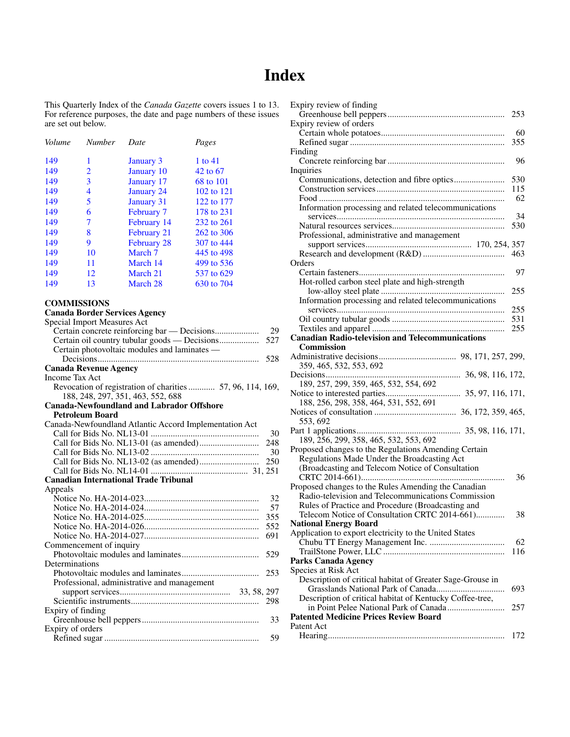## **Index**

<span id="page-2-0"></span>This Quarterly Index of the *Canada Gazette* covers issues 1 to 13. For reference purposes, the date and page numbers of these issues are set out below.

| <b>Number</b> | Date               | Pages      |
|---------------|--------------------|------------|
| 1             | <b>January 3</b>   | 1 to $41$  |
| 2             | January 10         | 42 to 67   |
| 3             | January 17         | 68 to 101  |
| 4             | <b>January 24</b>  | 102 to 121 |
| 5             | <b>January 31</b>  | 122 to 177 |
| 6             | <b>February 7</b>  | 178 to 231 |
| 7             | February 14        | 232 to 261 |
| 8             | February 21        | 262 to 306 |
| 9             | <b>February 28</b> | 307 to 444 |
| 10            | March 7            | 445 to 498 |
| 11            | March 14           | 499 to 536 |
| 12            | March 21           | 537 to 629 |
| 13            | March 28           | 630 to 704 |
|               |                    |            |

#### **COMMISSIONS**

#### **Canada Border Services Agency**

| Special Import Measures Act                               |     |
|-----------------------------------------------------------|-----|
|                                                           | 29  |
|                                                           | 527 |
| Certain photovoltaic modules and laminates -              |     |
|                                                           | 528 |
| <b>Canada Revenue Agency</b>                              |     |
| Income Tax Act                                            |     |
| Revocation of registration of charities 57, 96, 114, 169, |     |
| 188, 248, 297, 351, 463, 552, 688                         |     |
| <b>Canada-Newfoundland and Labrador Offshore</b>          |     |
| <b>Petroleum Board</b>                                    |     |
| Canada-Newfoundland Atlantic Accord Implementation Act    |     |
|                                                           | 30  |
|                                                           | 248 |
|                                                           | 30  |
|                                                           | 250 |
|                                                           |     |
| <b>Canadian International Trade Tribunal</b>              |     |
| Appeals                                                   |     |
|                                                           | 32  |
|                                                           | 57  |
|                                                           | 355 |
|                                                           | 552 |
|                                                           | 691 |
| Commencement of inquiry                                   |     |
|                                                           | 529 |
| Determinations                                            |     |
|                                                           | 253 |
| Professional, administrative and management               |     |
|                                                           |     |
|                                                           |     |
| Expiry of finding                                         |     |
|                                                           | 33  |
| Expiry of orders                                          |     |
|                                                           | 59  |

| Expiry review of finding                                  |     |
|-----------------------------------------------------------|-----|
|                                                           | 253 |
| Expiry review of orders                                   |     |
|                                                           | 60  |
|                                                           | 355 |
| Finding                                                   |     |
|                                                           | 96  |
| Inquiries                                                 |     |
|                                                           | 530 |
|                                                           | 115 |
|                                                           | 62  |
| Information processing and related telecommunications     |     |
|                                                           | 34  |
|                                                           | 530 |
|                                                           |     |
| Professional, administrative and management               |     |
|                                                           |     |
|                                                           | 463 |
| Orders                                                    |     |
|                                                           | 97  |
| Hot-rolled carbon steel plate and high-strength           |     |
|                                                           | 255 |
| Information processing and related telecommunications     |     |
|                                                           | 255 |
|                                                           | 531 |
|                                                           | 255 |
| <b>Canadian Radio-television and Telecommunications</b>   |     |
| Commission                                                |     |
|                                                           |     |
| 359, 465, 532, 553, 692                                   |     |
| Decisions                                                 |     |
| 189, 257, 299, 359, 465, 532, 554, 692                    |     |
|                                                           |     |
| 188, 256, 298, 358, 464, 531, 552, 691                    |     |
|                                                           |     |
| 553, 692                                                  |     |
|                                                           |     |
| 189, 256, 299, 358, 465, 532, 553, 692                    |     |
| Proposed changes to the Regulations Amending Certain      |     |
| Regulations Made Under the Broadcasting Act               |     |
| (Broadcasting and Telecom Notice of Consultation          |     |
|                                                           | 36  |
| Proposed changes to the Rules Amending the Canadian       |     |
| Radio-television and Telecommunications Commission        |     |
|                                                           |     |
| Rules of Practice and Procedure (Broadcasting and         |     |
| Telecom Notice of Consultation CRTC 2014-661)             | 38  |
| <b>National Energy Board</b>                              |     |
| Application to export electricity to the United States    |     |
|                                                           | 62  |
|                                                           | 116 |
| Parks Canada Agency                                       |     |
| Species at Risk Act                                       |     |
| Description of critical habitat of Greater Sage-Grouse in |     |
|                                                           | 693 |
| Description of critical habitat of Kentucky Coffee-tree,  |     |
|                                                           | 257 |
| <b>Patented Medicine Prices Review Board</b>              |     |
| Patent Act                                                |     |
|                                                           | 172 |
|                                                           |     |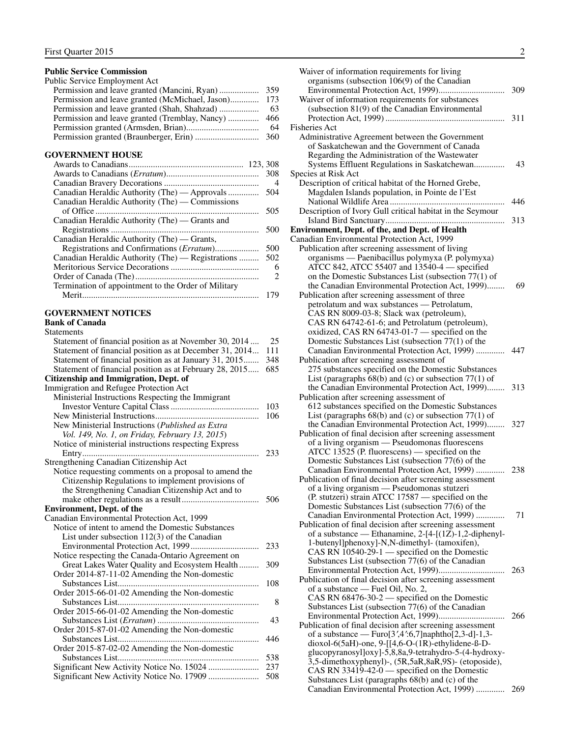#### <span id="page-3-0"></span>**Public Service Commission**

| Public Service Employment Act |     |
|-------------------------------|-----|
|                               | 359 |
|                               |     |
|                               | -63 |
|                               |     |
|                               | 64  |
|                               | 360 |

#### **GOVERNMENT HOUSE**

|                                                     | 308            |
|-----------------------------------------------------|----------------|
|                                                     | $\overline{4}$ |
| Canadian Heraldic Authority (The) — Approvals       | 504            |
| Canadian Heraldic Authority (The) — Commissions     |                |
|                                                     | 505            |
| Canadian Heraldic Authority (The) — Grants and      |                |
|                                                     | 500            |
| Canadian Heraldic Authority (The) — Grants,         |                |
| Registrations and Confirmations (Erratum)           | 500            |
| Canadian Heraldic Authority (The) — Registrations   | 502            |
|                                                     | 6              |
|                                                     | 2              |
| Termination of appointment to the Order of Military |                |
|                                                     | 179            |
|                                                     |                |

#### **GOVERNMENT NOTICES**

#### **Bank of Canada** Statements

| Statement of financial position as at November 30, 2014<br>Statement of financial position as at December 31, 2014 | 25<br>111 |
|--------------------------------------------------------------------------------------------------------------------|-----------|
| Statement of financial position as at January 31, 2015                                                             | 348       |
| Statement of financial position as at February 28, 2015                                                            | 685       |
| <b>Citizenship and Immigration, Dept. of</b>                                                                       |           |
| <b>Immigration and Refugee Protection Act</b>                                                                      |           |
| Ministerial Instructions Respecting the Immigrant                                                                  |           |
|                                                                                                                    | 103       |
|                                                                                                                    | 106       |
| New Ministerial Instructions (Published as Extra                                                                   |           |
| Vol. 149, No. 1, on Friday, February 13, 2015)                                                                     |           |
| Notice of ministerial instructions respecting Express                                                              |           |
| Entry                                                                                                              | 233       |
| Strengthening Canadian Citizenship Act                                                                             |           |
| Notice requesting comments on a proposal to amend the                                                              |           |
| Citizenship Regulations to implement provisions of                                                                 |           |
| the Strengthening Canadian Citizenship Act and to                                                                  |           |
|                                                                                                                    | 506       |
| <b>Environment, Dept. of the</b>                                                                                   |           |
| Canadian Environmental Protection Act, 1999                                                                        |           |
| Notice of intent to amend the Domestic Substances                                                                  |           |
| List under subsection $112(3)$ of the Canadian                                                                     |           |
|                                                                                                                    | 233       |
| Notice respecting the Canada-Ontario Agreement on                                                                  |           |
| Great Lakes Water Quality and Ecosystem Health                                                                     | 309       |
| Order 2014-87-11-02 Amending the Non-domestic                                                                      |           |
| .                                                                                                                  | 108       |
| Order 2015-66-01-02 Amending the Non-domestic                                                                      |           |
|                                                                                                                    | 8         |
| Order 2015-66-01-02 Amending the Non-domestic                                                                      |           |
| .                                                                                                                  | 43        |
| Order 2015-87-01-02 Amending the Non-domestic                                                                      |           |
|                                                                                                                    | 446       |
| Order 2015-87-02-02 Amending the Non-domestic                                                                      |           |
| Substances List                                                                                                    | 538       |
|                                                                                                                    | 237       |
|                                                                                                                    | 508       |
|                                                                                                                    |           |

| Waiver of information requirements for living                                                                       |     |
|---------------------------------------------------------------------------------------------------------------------|-----|
| organisms (subsection $106(9)$ of the Canadian                                                                      |     |
|                                                                                                                     | 309 |
| Waiver of information requirements for substances<br>(subsection 81(9) of the Canadian Environmental                |     |
|                                                                                                                     | 311 |
| <b>Fisheries Act</b>                                                                                                |     |
| Administrative Agreement between the Government                                                                     |     |
| of Saskatchewan and the Government of Canada                                                                        |     |
| Regarding the Administration of the Wastewater                                                                      |     |
| Systems Effluent Regulations in Saskatchewan                                                                        | 43  |
| Species at Risk Act<br>Description of critical habitat of the Horned Grebe,                                         |     |
| Magdalen Islands population, in Pointe de l'Est                                                                     |     |
|                                                                                                                     | 446 |
| Description of Ivory Gull critical habitat in the Seymour                                                           |     |
|                                                                                                                     | 313 |
| Environment, Dept. of the, and Dept. of Health                                                                      |     |
| Canadian Environmental Protection Act, 1999                                                                         |     |
| Publication after screening assessment of living                                                                    |     |
| organisms — Paenibacillus polymyxa (P. polymyxa)<br>ATCC 842, ATCC 55407 and 13540-4 - specified                    |     |
| on the Domestic Substances List (subsection 77(1) of                                                                |     |
| the Canadian Environmental Protection Act, 1999)                                                                    | 69  |
| Publication after screening assessment of three                                                                     |     |
| petrolatum and wax substances - Petrolatum,                                                                         |     |
| CAS RN 8009-03-8; Slack wax (petroleum),                                                                            |     |
| CAS RN 64742-61-6; and Petrolatum (petroleum),                                                                      |     |
| oxidized, CAS RN 64743-01-7 — specified on the<br>Domestic Substances List (subsection 77(1) of the                 |     |
| Canadian Environmental Protection Act, 1999)                                                                        | 447 |
| Publication after screening assessment of                                                                           |     |
| 275 substances specified on the Domestic Substances                                                                 |     |
| List (paragraphs $68(b)$ and (c) or subsection $77(1)$ of                                                           |     |
| the Canadian Environmental Protection Act, 1999)                                                                    | 313 |
| Publication after screening assessment of                                                                           |     |
| 612 substances specified on the Domestic Substances<br>List (paragraphs $68(b)$ and (c) or subsection $77(1)$ of    |     |
| the Canadian Environmental Protection Act, 1999)                                                                    | 327 |
| Publication of final decision after screening assessment                                                            |     |
| of a living organism - Pseudomonas fluorescens                                                                      |     |
| $ATCC$ 13525 (P. fluorescens) — specified on the                                                                    |     |
| Domestic Substances List (subsection 77(6) of the<br>Canadian Environmental Protection Act, 1999)                   | 238 |
| Publication of final decision after screening assessment                                                            |     |
| of a living organism — Pseudomonas stutzeri                                                                         |     |
| (P. stutzeri) strain ATCC 17587 — specified on the                                                                  |     |
| Domestic Substances List (subsection 77(6) of the                                                                   |     |
| Canadian Environmental Protection Act, 1999)<br>Publication of final decision after screening assessment            | 71  |
| of a substance — Ethanamine, 2-[4-[ $(1\overline{Z})$ -1,2-diphenyl-                                                |     |
| 1-butenyl]phenoxy]-N,N-dimethyl- (tamoxifen),                                                                       |     |
| CAS RN $\hat{10540-29-1}$ — specified on the Domestic                                                               |     |
| Substances List (subsection 77(6) of the Canadian                                                                   |     |
|                                                                                                                     | 263 |
| Publication of final decision after screening assessment<br>of a substance — Fuel Oil, No. 2,                       |     |
| CAS RN 68476-30-2 — specified on the Domestic                                                                       |     |
| Substances List (subsection 77(6) of the Canadian                                                                   |     |
|                                                                                                                     | 266 |
| Publication of final decision after screening assessment                                                            |     |
| of a substance — Furo $[3\,4\,9.6,7]$ naphtho $[2,3-d]$ -1,3-                                                       |     |
| dioxol-6(5aH)-one, $9-[[4,6-O-(1R)-ethy]$ -ethylidene-ß-D-<br>glucopyranosyl]oxy]-5,8,8a,9-tetrahydro-5-(4-hydroxy- |     |
| 3,5-dimethoxyphenyl)-, (5R,5aR,8aR,9S)- (etoposide),                                                                |     |
| CAS RN 33419-42-0 — specified on the Domestic                                                                       |     |
| Substances List (paragraphs 68(b) and (c) of the                                                                    |     |

Canadian Environmental Protection Act, 1999) ............. 269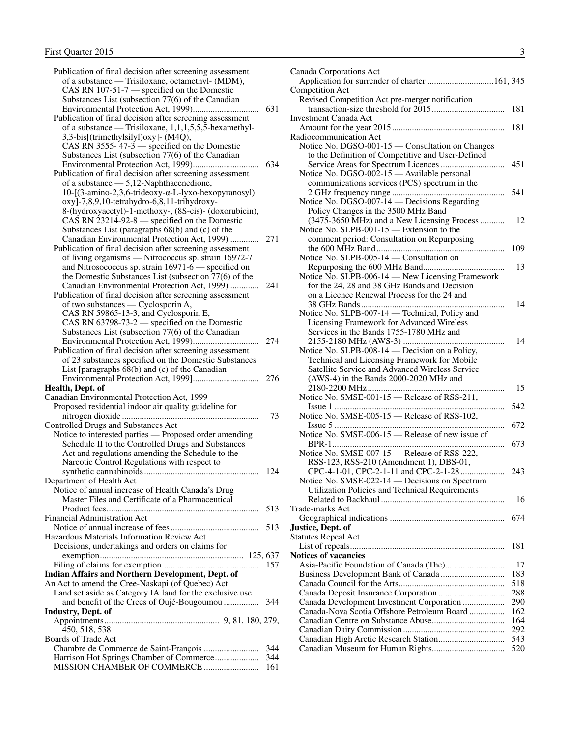| Publication of final decision after screening assessment                          |     |
|-----------------------------------------------------------------------------------|-----|
| of a substance — Trisiloxane, octamethyl- (MDM),                                  |     |
| CAS RN 107-51-7 - specified on the Domestic                                       |     |
| Substances List (subsection 77(6) of the Canadian                                 |     |
|                                                                                   | 631 |
| Publication of final decision after screening assessment                          |     |
| of a substance — Trisiloxane, $1,1,1,5,5,5$ -hexamethyl-                          |     |
| 3,3-bis[(trimethylsilyl)oxy]- (M4Q),                                              |     |
| CAS RN 3555-47-3 — specified on the Domestic                                      |     |
| Substances List (subsection 77(6) of the Canadian                                 |     |
|                                                                                   | 634 |
| Publication of final decision after screening assessment                          |     |
| of a substance - 5,12-Naphthacenedione,                                           |     |
| 10-[(3-amino-2,3,6-trideoxy-α-L-lyxo-hexopyranosyl)                               |     |
| oxy]-7,8,9,10-tetrahydro-6,8,11-trihydroxy-                                       |     |
| 8-(hydroxyacetyl)-1-methoxy-, (8S-cis)- (doxorubicin),                            |     |
| CAS RN 23214-92-8 — specified on the Domestic                                     |     |
| Substances List (paragraphs 68(b) and (c) of the                                  |     |
| Canadian Environmental Protection Act, 1999)                                      | 271 |
| Publication of final decision after screening assessment                          |     |
| of living organisms - Nitrococcus sp. strain 16972-7                              |     |
| and Nitrosococcus sp. strain 16971-6 — specified on                               |     |
| the Domestic Substances List (subsection 77(6) of the                             |     |
| Canadian Environmental Protection Act, 1999)                                      | 241 |
| Publication of final decision after screening assessment                          |     |
| of two substances — Cyclosporin A,                                                |     |
| CAS RN 59865-13-3, and Cyclosporin E,                                             |     |
| CAS RN 63798-73-2 - specified on the Domestic                                     |     |
| Substances List (subsection 77(6) of the Canadian                                 |     |
|                                                                                   | 274 |
| Publication of final decision after screening assessment                          |     |
| of 23 substances specified on the Domestic Substances                             |     |
| List [paragraphs 68(b) and (c) of the Canadian                                    |     |
|                                                                                   | 276 |
| Health, Dept. of                                                                  |     |
| Canadian Environmental Protection Act, 1999                                       |     |
| Proposed residential indoor air quality guideline for                             | 73  |
| Controlled Drugs and Substances Act                                               |     |
|                                                                                   |     |
|                                                                                   |     |
| Notice to interested parties - Proposed order amending                            |     |
| Schedule II to the Controlled Drugs and Substances                                |     |
| Act and regulations amending the Schedule to the                                  |     |
| Narcotic Control Regulations with respect to                                      |     |
|                                                                                   | 124 |
| Department of Health Act                                                          |     |
| Notice of annual increase of Health Canada's Drug                                 |     |
| Master Files and Certificate of a Pharmaceutical                                  |     |
|                                                                                   | 513 |
| <b>Financial Administration Act</b>                                               |     |
|                                                                                   |     |
| Hazardous Materials Information Review Act                                        |     |
| Decisions, undertakings and orders on claims for                                  |     |
|                                                                                   |     |
|                                                                                   | 157 |
| Indian Affairs and Northern Development, Dept. of                                 |     |
| An Act to amend the Cree-Naskapi (of Quebec) Act                                  |     |
| Land set aside as Category IA land for the exclusive use                          | 344 |
| and benefit of the Crees of Oujé-Bougoumou<br><b>Industry, Dept. of</b>           |     |
|                                                                                   |     |
| 450, 518, 538                                                                     |     |
| <b>Boards of Trade Act</b>                                                        |     |
|                                                                                   | 344 |
| Chambre de Commerce de Saint-François<br>Harrison Hot Springs Chamber of Commerce | 344 |

| Canada Corporations Act<br>Application for surrender of charter  161, 345 |     |
|---------------------------------------------------------------------------|-----|
| Competition Act                                                           |     |
| Revised Competition Act pre-merger notification                           |     |
|                                                                           | 181 |
| <b>Investment Canada Act</b>                                              |     |
|                                                                           | 181 |
| Radiocommunication Act                                                    |     |
| Notice No. DGSO-001-15 - Consultation on Changes                          |     |
| to the Definition of Competitive and User-Defined                         |     |
|                                                                           | 451 |
| Notice No. DGSO-002-15 - Available personal                               |     |
| communications services (PCS) spectrum in the                             |     |
|                                                                           |     |
|                                                                           | 541 |
| Notice No. DGSO-007-14 - Decisions Regarding                              |     |
| Policy Changes in the 3500 MHz Band                                       |     |
| (3475-3650 MHz) and a New Licensing Process                               | 12  |
| Notice No. SLPB-001-15 - Extension to the                                 |     |
| comment period: Consultation on Repurposing                               |     |
|                                                                           | 109 |
| Notice No. SLPB-005-14 – Consultation on                                  |     |
|                                                                           | 13  |
| Notice No. SLPB-006-14 - New Licensing Framework                          |     |
| for the 24, 28 and 38 GHz Bands and Decision                              |     |
| on a Licence Renewal Process for the 24 and                               |     |
|                                                                           | 14  |
| Notice No. SLPB-007-14 - Technical, Policy and                            |     |
| Licensing Framework for Advanced Wireless                                 |     |
| Services in the Bands 1755-1780 MHz and                                   |     |
|                                                                           | 14  |
|                                                                           |     |
| Notice No. SLPB-008-14 - Decision on a Policy,                            |     |
| Technical and Licensing Framework for Mobile                              |     |
| Satellite Service and Advanced Wireless Service                           |     |
| (AWS-4) in the Bands 2000-2020 MHz and                                    |     |
|                                                                           | 15  |
| Notice No. SMSE-001-15 - Release of RSS-211,                              |     |
|                                                                           | 542 |
| Notice No. SMSE-005-15 - Release of RSS-102,                              |     |
|                                                                           | 672 |
| Notice No. SMSE-006-15 - Release of new issue of                          |     |
|                                                                           | 673 |
| Notice No. SMSE-007-15 - Release of RSS-222,                              |     |
| RSS-123, RSS-210 (Amendment 1), DBS-01,                                   |     |
| CPC-4-1-01, CPC-2-1-11 and CPC-2-1-28                                     | 243 |
| Notice No. SMSE-022-14 — Decisions on Spectrum                            |     |
| Utilization Policies and Technical Requirements                           |     |
|                                                                           | 16  |
| Trade-marks Act                                                           |     |
|                                                                           | 674 |
| Justice, Dept. of                                                         |     |
|                                                                           |     |
| <b>Statutes Repeal Act</b>                                                |     |
|                                                                           | 181 |
| <b>Notices of vacancies</b>                                               |     |
|                                                                           | 17  |
|                                                                           | 183 |
|                                                                           | 518 |
|                                                                           | 288 |
| Canada Development Investment Corporation                                 | 290 |
| Canada-Nova Scotia Offshore Petroleum Board                               | 162 |
|                                                                           | 164 |
|                                                                           | 292 |
|                                                                           | 543 |
|                                                                           | 520 |
|                                                                           |     |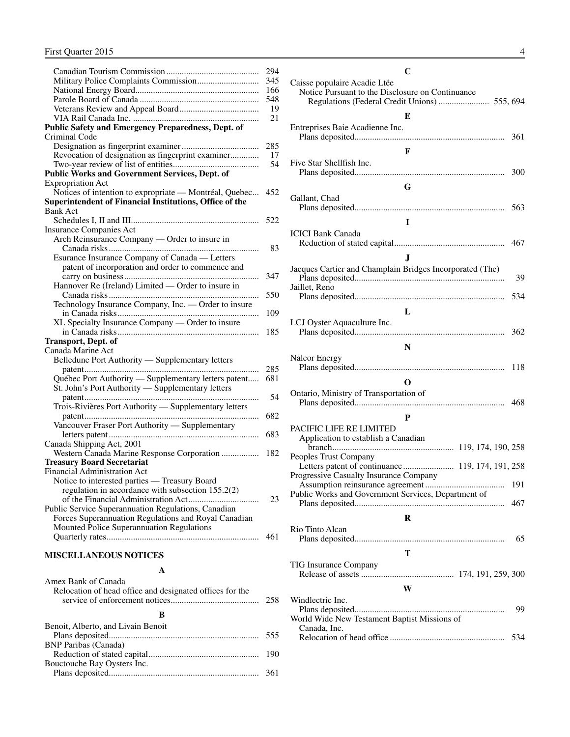<span id="page-5-0"></span>

|                                                            | 294        |
|------------------------------------------------------------|------------|
|                                                            | 345        |
|                                                            | 166        |
|                                                            | 548        |
|                                                            | 19         |
|                                                            | 21         |
| Public Safety and Emergency Preparedness, Dept. of         |            |
| Criminal Code                                              |            |
|                                                            | 285        |
| Revocation of designation as fingerprint examiner          | 17         |
|                                                            | 54         |
| Public Works and Government Services, Dept. of             |            |
| <b>Expropriation Act</b>                                   |            |
| Notices of intention to expropriate - Montréal, Quebec     | 452        |
| Superintendent of Financial Institutions, Office of the    |            |
| <b>Bank Act</b>                                            |            |
|                                                            | 522        |
| <b>Insurance Companies Act</b>                             |            |
| Arch Reinsurance Company — Order to insure in              |            |
|                                                            | 83         |
| Esurance Insurance Company of Canada — Letters             |            |
| patent of incorporation and order to commence and          |            |
|                                                            | 347        |
| Hannover Re (Ireland) Limited — Order to insure in         |            |
|                                                            | 550        |
| Technology Insurance Company, Inc. - Order to insure       |            |
|                                                            | 109        |
| XL Specialty Insurance Company - Order to insure           |            |
|                                                            | 185        |
| <b>Transport, Dept. of</b>                                 |            |
| Canada Marine Act                                          |            |
| Belledune Port Authority - Supplementary letters           |            |
| Québec Port Authority — Supplementary letters patent       | 285<br>681 |
| St. John's Port Authority — Supplementary letters          |            |
|                                                            | 54         |
| .<br>Trois-Rivières Port Authority — Supplementary letters |            |
|                                                            | 682        |
| Vancouver Fraser Port Authority - Supplementary            |            |
|                                                            | 683        |
| Canada Shipping Act, 2001                                  |            |
| Western Canada Marine Response Corporation                 | 182        |
| <b>Treasury Board Secretariat</b>                          |            |
| Financial Administration Act                               |            |
| Notice to interested parties - Treasury Board              |            |
| regulation in accordance with subsection 155.2(2)          |            |
|                                                            | 23         |
| Public Service Superannuation Regulations, Canadian        |            |
| Forces Superannuation Regulations and Royal Canadian       |            |
| Mounted Police Superannuation Regulations                  |            |
|                                                            | 461        |
|                                                            |            |
| <b>MISCELLANEOUS NOTICES</b>                               |            |
|                                                            |            |
|                                                            |            |

| Amex Bank of Canada<br>Relocation of head office and designated offices for the | 258 |
|---------------------------------------------------------------------------------|-----|
|                                                                                 |     |
| Benoit, Alberto, and Livain Benoit                                              |     |
|                                                                                 | 555 |
| <b>BNP</b> Paribas (Canada)                                                     |     |
|                                                                                 | 190 |
| Bouctouche Bay Oysters Inc.                                                     |     |
|                                                                                 |     |

| C                                                                                |     |
|----------------------------------------------------------------------------------|-----|
| Caisse populaire Acadie Ltée<br>Notice Pursuant to the Disclosure on Continuance |     |
| E                                                                                |     |
| Entreprises Baie Acadienne Inc.                                                  | 361 |
| $\mathbf{F}$                                                                     |     |
| Five Star Shellfish Inc.                                                         | 300 |
| G                                                                                |     |
| Gallant, Chad                                                                    |     |
|                                                                                  | 563 |
| I<br><b>ICICI Bank Canada</b>                                                    |     |
|                                                                                  | 467 |
| J                                                                                |     |
| Jacques Cartier and Champlain Bridges Incorporated (The)                         | 39  |
| Jaillet, Reno                                                                    | 534 |
| L                                                                                |     |
| LCJ Oyster Aquaculture Inc.                                                      | 362 |
| N                                                                                |     |
| <b>Nalcor Energy</b>                                                             | 118 |
| O                                                                                |     |
| Ontario, Ministry of Transportation of                                           |     |
|                                                                                  |     |
| P                                                                                |     |
| PACIFIC LIFE RE LIMITED<br>Application to establish a Canadian                   |     |
|                                                                                  |     |
| Peoples Trust Company                                                            |     |
| Progressive Casualty Insurance Company                                           |     |
| Public Works and Government Services, Department of                              | 191 |
|                                                                                  | 467 |
| $\mathbf R$                                                                      |     |
| Rio Tinto Alcan                                                                  | 65  |
| Т                                                                                |     |
| TIG Insurance Company                                                            |     |
| W                                                                                |     |
| Windlectric Inc.                                                                 |     |
| World Wide New Testament Baptist Missions of<br>Canada, Inc.                     | 99  |
|                                                                                  | 534 |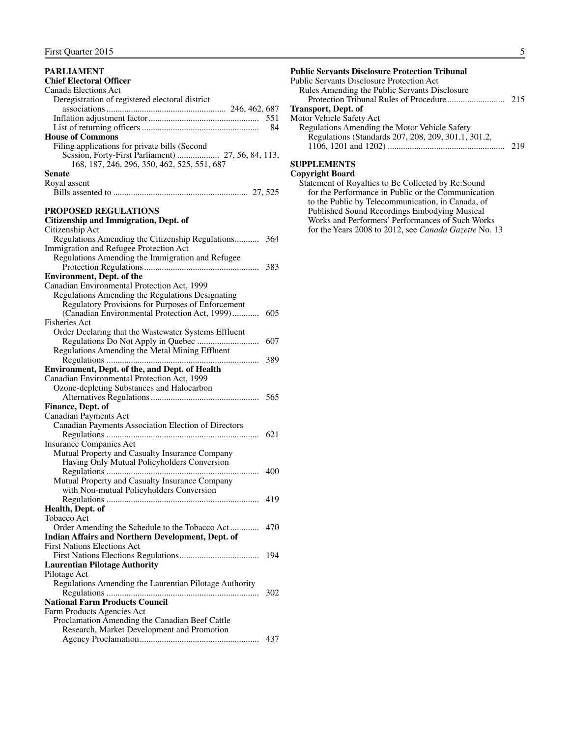#### <span id="page-6-0"></span>**PARLIAMENT Chief Electoral Officer** Canada Elections Act Deregistration of registered electoral district associations...................................................... 246, 462, 687 Inflation adjustment factor.................................................. 551 List of returning officers..................................................... 84 **House of Commons** Filing applications for private bills (Second Session, Forty-First Parliament) ................... 27, 56, 84, 113, 168, 187, 246, 296, 350, 462, 525, 551, 687 **Senate** Royal assent Bills assented to ............................................................. 27, 525 **PROPOSED REGULATIONS Citizenship and Immigration, Dept. of** Citizenship Act Regulations Amending the Citizenship Regulations........... 364 Immigration and Refugee Protection Act Regulations Amending the Immigration and Refugee Protection Regulations.................................................... 383 **Environment, Dept. of the**  Canadian Environmental Protection Act, 1999 Regulations Amending the Regulations Designating Regulatory Provisions for Purposes of Enforcement (Canadian Environmental Protection Act, 1999)............ 605 Fisheries Act Order Declaring that the Wastewater Systems Effluent Regulations Do Not Apply in Quebec ............................ 607 Regulations Amending the Metal Mining Effluent Regulations ..................................................................... 389 **Environment, Dept. of the, and Dept. of Health**  Canadian Environmental Protection Act, 1999 Ozone-depleting Substances and Halocarbon Alternatives Regulations................................................. 565 **Finance, Dept. of** Canadian Payments Act Canadian Payments Association Election of Directors Regulations ..................................................................... 621 Insurance Companies Act Mutual Property and Casualty Insurance Company Having Only Mutual Policyholders Conversion Regulations ..................................................................... 400 Mutual Property and Casualty Insurance Company with Non-mutual Policyholders Conversion Regulations ..................................................................... 419 **Health, Dept. of**  Tobacco Act Order Amending the Schedule to the Tobacco Act............. 470 **Indian Affairs and Northern Development, Dept. of**  First Nations Elections Act First Nations Elections Regulations.................................... 194 **Laurentian Pilotage Authority** Pilotage Act Regulations Amending the Laurentian Pilotage Authority Regulations ..................................................................... 302 **National Farm Products Council** Farm Products Agencies Act Proclamation Amending the Canadian Beef Cattle Research, Market Development and Promotion Agency Proclamation...................................................... 437

#### **Public Servants Disclosure Protection Tribunal** Public Servants Disclosure Protection Act Rules Amending the Public Servants Disclosure Protection Tribunal Rules of Procedure.......................... 215 **Transport, Dept. of**  Motor Vehicle Safety Act Regulations Amending the Motor Vehicle Safety Regulations (Standards 207, 208, 209, 301.1, 301.2, 1106, 1201 and 1202) ..................................................... 219

#### **SUPPLEMENTS Copyright Board**

| Statement of Royalties to Be Collected by Re:Sound    |
|-------------------------------------------------------|
| for the Performance in Public or the Communication    |
| to the Public by Telecommunication, in Canada, of     |
| Published Sound Recordings Embodying Musical          |
| Works and Performers' Performances of Such Works      |
| for the Years 2008 to 2012, see Canada Gazette No. 13 |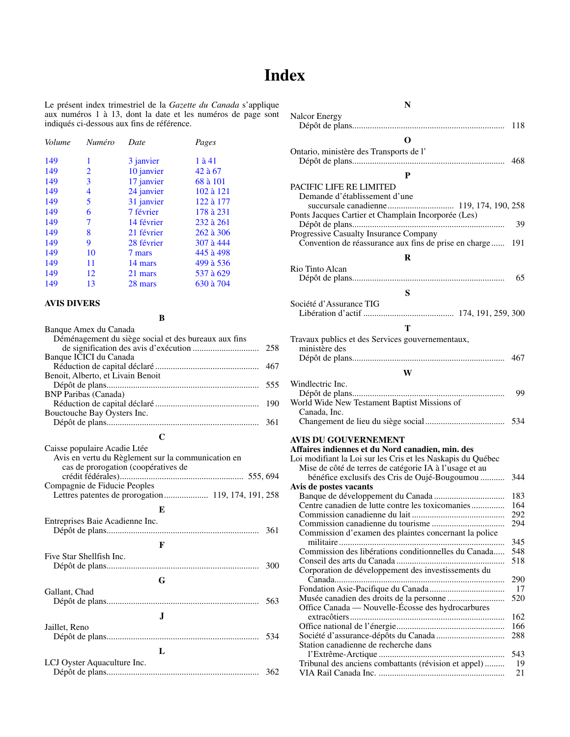## **Index**

<span id="page-7-0"></span>Le présent index trimestriel de la *Gazette du Canada* s'applique aux numéros 1 à 13, dont la date et les numéros de page sont indiqués ci-dessous aux fins de référence.

| Volume | Numéro | Date       | Pages     |
|--------|--------|------------|-----------|
| 149    | 1      | 3 janvier  | 1 à 41    |
| 149    | 2      | 10 janvier | 42 à 67   |
| 149    | 3      | 17 janvier | 68 à 101  |
| 149    | 4      | 24 janvier | 102 à 121 |
| 149    | 5      | 31 janvier | 122 à 177 |
| 149    | 6      | 7 février  | 178 à 231 |
| 149    | 7      | 14 février | 232 à 261 |
| 149    | 8      | 21 février | 262 à 306 |
| 149    | 9      | 28 février | 307 à 444 |
| 149    | 10     | 7 mars     | 445 à 498 |
| 149    | 11     | 14 mars    | 499 à 536 |
| 149    | 12     | 21 mars    | 537 à 629 |
| 149    | 13     | 28 mars    | 630 à 704 |
|        |        |            |           |

#### **AVIS DIVERS**

#### **B**

| Banque Amex du Canada                                |     |
|------------------------------------------------------|-----|
| Déménagement du siège social et des bureaux aux fins |     |
|                                                      | 258 |
| Banque ICICI du Canada                               |     |
|                                                      | 467 |
| Benoit, Alberto, et Livain Benoit                    |     |
|                                                      | 555 |
| <b>BNP</b> Paribas (Canada)                          |     |
|                                                      | 190 |
| Bouctouche Bay Oysters Inc.                          |     |
|                                                      | 361 |
|                                                      |     |
| Caisse populaire Acadie Ltée                         |     |
| Avis en vertu du Règlement sur la communication en   |     |

| <i>TWIS</i> CH VCHU UU INCEICHICHI SUI IA COMMININUMON CH |     |
|-----------------------------------------------------------|-----|
| cas de prorogation (coopératives de                       |     |
|                                                           |     |
| Compagnie de Fiducie Peoples                              |     |
| Lettres patentes de prorogation 119, 174, 191, 258        |     |
| E                                                         |     |
| Entreprises Baie Acadienne Inc.                           |     |
|                                                           | 361 |
|                                                           |     |
| F                                                         |     |
| Five Star Shellfish Inc.                                  |     |
|                                                           | 300 |
| G                                                         |     |
| Gallant, Chad                                             |     |
|                                                           | 563 |
|                                                           |     |
| J.                                                        |     |
| Jaillet, Reno                                             |     |
|                                                           | 534 |
|                                                           |     |
| L                                                         |     |
| LCJ Oyster Aquaculture Inc.                               |     |
|                                                           | 362 |
|                                                           |     |

| N                                                           |            |
|-------------------------------------------------------------|------------|
| <b>Nalcor Energy</b>                                        |            |
|                                                             | 118        |
| O                                                           |            |
| Ontario, ministère des Transports de l'                     | 468        |
|                                                             |            |
| P                                                           |            |
| PACIFIC LIFE RE LIMITED                                     |            |
| Demande d'établissement d'une                               |            |
| Ponts Jacques Cartier et Champlain Incorporée (Les)         |            |
|                                                             | 39         |
| Progressive Casualty Insurance Company                      |            |
| Convention de réassurance aux fins de prise en charge       | 191        |
| R                                                           |            |
| Rio Tinto Alcan                                             |            |
|                                                             | 65         |
|                                                             |            |
| S                                                           |            |
| Société d'Assurance TIG                                     |            |
|                                                             |            |
| T                                                           |            |
| Travaux publics et des Services gouvernementaux,            |            |
| ministère des                                               |            |
|                                                             | 467        |
| W                                                           |            |
| Windlectric Inc.                                            |            |
|                                                             | 99         |
| World Wide New Testament Baptist Missions of                |            |
| Canada, Inc.                                                |            |
|                                                             | 534        |
| <b>AVIS DU GOUVERNEMENT</b>                                 |            |
| Affaires indiennes et du Nord canadien, min. des            |            |
| Loi modifiant la Loi sur les Cris et les Naskapis du Québec |            |
| Mise de côté de terres de catégorie IA à l'usage et au      |            |
| bénéfice exclusifs des Cris de Oujé-Bougoumou               | 344        |
| Avis de postes vacants                                      | 183        |
| Centre canadien de lutte contre les toxicomanies            | 164        |
|                                                             | 292        |
|                                                             | 294        |
| Commission d'examen des plaintes concernant la police       |            |
|                                                             | 345        |
| Commission des libérations conditionnelles du Canada        | 548<br>518 |
| Corporation de développement des investissements du         |            |
|                                                             | 290        |
|                                                             | 17         |
|                                                             | 520        |
| Office Canada — Nouvelle-Écosse des hydrocarbures           |            |
|                                                             | 162        |
|                                                             | 166<br>288 |
| Station canadienne de recherche dans                        |            |
|                                                             | 543        |
| Tribunal des anciens combattants (révision et appel)        | 19         |
|                                                             | 21         |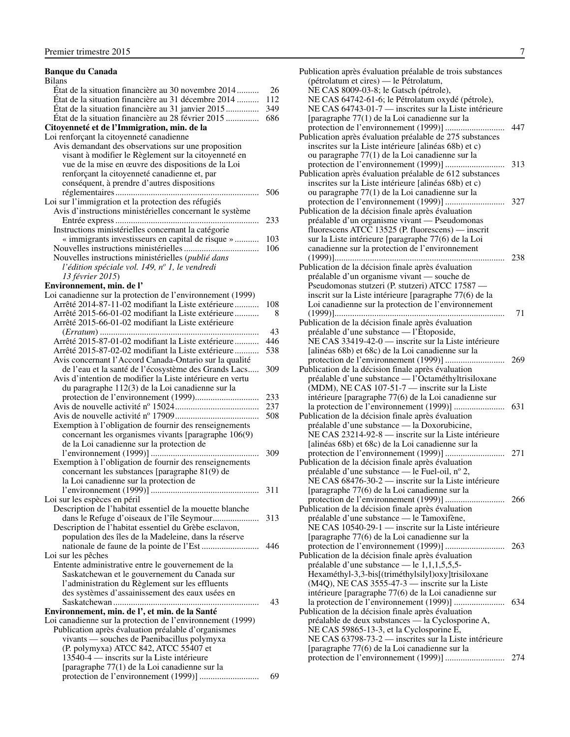#### Premier trimestre 2015 7 **Banque du Canada** Bilans État de la situation financière au 30 novembre 2014 .......... 26 État de la situation financière au 31 décembre 2014 .......... 112 État de la situation financière au 31 janvier 2015............... 349 État de la situation financière au 28 février 2015 ............... 686 **Citoyenneté et de l'Immigration, min. de la** Loi renforçant la citoyenneté canadienne Avis demandant des observations sur une proposition visant à modifier le Règlement sur la citoyenneté en vue de la mise en œuvre des dispositions de la Loi renforçant la citoyenneté canadienne et, par conséquent, à prendre d'autres dispositions réglementaires................................................................. 506 Loi sur l'immigration et la protection des réfugiés Avis d'instructions ministérielles concernant le système Entrée express................................................................. 233 Instructions ministérielles concernant la catégorie « immigrants investisseurs en capital de risque » ........... 103 Nouvelles instructions ministérielles.................................. 106 Nouvelles instructions ministérielles (*publié dans l'édition spéciale vol. 149, no 1, le vendredi 13 février 2015*) **Environnement, min. de l'** Loi canadienne sur la protection de l'environnement (1999) Arrêté 2014-87-11-02 modifiant la Liste extérieure ........... 108 Arrêté 2015-66-01-02 modifiant la Liste extérieure ........... 8 Arrêté 2015-66-01-02 modifiant la Liste extérieure (*Erratum*) ........................................................................ 43 Arrêté 2015-87-01-02 modifiant la Liste extérieure ........... 446 Arrêté 2015-87-02-02 modifiant la Liste extérieure ........... 538 Avis concernant l'Accord Canada-Ontario sur la qualité de l'eau et la santé de l'écosystème des Grands Lacs..... 309

| Avis d'intention de modifier la Liste intérieure en vertu  |     |
|------------------------------------------------------------|-----|
| du paragraphe 112(3) de la Loi canadienne sur la           |     |
|                                                            | 233 |
|                                                            | 237 |
|                                                            | 508 |
| Exemption à l'obligation de fournir des renseignements     |     |
| concernant les organismes vivants [paragraphe 106(9)       |     |
| de la Loi canadienne sur la protection de                  |     |
|                                                            | 309 |
| Exemption à l'obligation de fournir des renseignements     |     |
| concernant les substances [paragraphe 81(9) de             |     |
| la Loi canadienne sur la protection de                     |     |
|                                                            | 311 |
| Loi sur les espèces en péril                               |     |
| Description de l'habitat essentiel de la mouette blanche   |     |
| dans le Refuge d'oiseaux de l'île Seymour                  | 313 |
| Description de l'habitat essentiel du Grèbe esclavon,      |     |
| population des îles de la Madeleine, dans la réserve       |     |
|                                                            | 446 |
| Loi sur les pêches                                         |     |
| Entente administrative entre le gouvernement de la         |     |
| Saskatchewan et le gouvernement du Canada sur              |     |
| l'administration du Règlement sur les effluents            |     |
| des systèmes d'assainissement des eaux usées en            |     |
|                                                            | 43  |
| Environnement, min. de l', et min. de la Santé             |     |
| Loi canadienne sur la protection de l'environnement (1999) |     |
| Publication après évaluation préalable d'organismes        |     |
| vivants — souches de Paenibacillus polymyxa                |     |
| (P. polymyxa) ATCC 842, ATCC 55407 et                      |     |
| 13540-4 — inscrits sur la Liste intérieure                 |     |
| [paragraphe 77(1) de la Loi canadienne sur la              |     |

protection de l'environnement (1999)] ........................... 69

| Publication après évaluation préalable de trois substances                                           |     |
|------------------------------------------------------------------------------------------------------|-----|
| (pétrolatum et cires) — le Pétrolatum,                                                               |     |
| NE CAS 8009-03-8; le Gatsch (pétrole),                                                               |     |
| NE CAS 64742-61-6; le Pétrolatum oxydé (pétrole),                                                    |     |
| NE CAS 64743-01-7 — inscrites sur la Liste intérieure                                                |     |
| [paragraphe 77(1) de la Loi canadienne sur la                                                        |     |
|                                                                                                      | 447 |
| Publication après évaluation préalable de 275 substances                                             |     |
| inscrites sur la Liste intérieure [alinéas 68b) et c)                                                |     |
| ou paragraphe 77(1) de la Loi canadienne sur la                                                      |     |
|                                                                                                      | 313 |
| Publication après évaluation préalable de 612 substances                                             |     |
| inscrites sur la Liste intérieure [alinéas 68b) et c)                                                |     |
| ou paragraphe 77(1) de la Loi canadienne sur la                                                      |     |
|                                                                                                      | 327 |
| Publication de la décision finale après évaluation                                                   |     |
| préalable d'un organisme vivant — Pseudomonas                                                        |     |
| fluorescens ATCC 13525 (P. fluorescens) — inscrit                                                    |     |
| sur la Liste intérieure [paragraphe 77(6) de la Loi                                                  |     |
| canadienne sur la protection de l'environnement                                                      |     |
|                                                                                                      | 238 |
| Publication de la décision finale après évaluation                                                   |     |
| préalable d'un organisme vivant — souche de                                                          |     |
| Pseudomonas stutzeri (P. stutzeri) ATCC 17587 -                                                      |     |
| inscrit sur la Liste intérieure [paragraphe 77(6) de la                                              |     |
| Loi canadienne sur la protection de l'environnement                                                  |     |
|                                                                                                      | 71  |
| Publication de la décision finale après évaluation                                                   |     |
| préalable d'une substance — l'Étoposide,                                                             |     |
| NE CAS 33419-42-0 — inscrite sur la Liste intérieure                                                 |     |
| [alinéas 68b) et 68c) de la Loi canadienne sur la                                                    |     |
|                                                                                                      | 269 |
| Publication de la décision finale après évaluation                                                   |     |
| préalable d'une substance — l'Octaméthyltrisiloxane                                                  |     |
| (MDM), NE CAS 107-51-7 - inscrite sur la Liste                                                       |     |
| intérieure [paragraphe 77(6) de la Loi canadienne sur                                                |     |
|                                                                                                      | 631 |
| Publication de la décision finale après évaluation                                                   |     |
| préalable d'une substance - la Doxorubicine,<br>NE CAS 23214-92-8 — inscrite sur la Liste intérieure |     |
| [alinéas 68b) et 68c) de la Loi canadienne sur la                                                    |     |
|                                                                                                      | 271 |
| Publication de la décision finale après évaluation                                                   |     |
| préalable d'une substance — le Fuel-oil, nº 2,                                                       |     |
| NE CAS 68476-30-2 — inscrite sur la Liste intérieure                                                 |     |
| [paragraphe 77(6) de la Loi canadienne sur la                                                        |     |
|                                                                                                      | 266 |
| Publication de la décision finale après évaluation                                                   |     |
| préalable d'une substance — le Tamoxifène,                                                           |     |
| NE CAS 10540-29-1 — inscrite sur la Liste intérieure                                                 |     |
| [paragraphe 77(6) de la Loi canadienne sur la                                                        |     |
|                                                                                                      | 263 |
| Publication de la décision finale après évaluation                                                   |     |
| préalable d'une substance — le 1,1,1,5,5,5-                                                          |     |
| Hexaméthyl-3,3-bis[(triméthylsilyl)oxy]trisiloxane                                                   |     |
| (M4Q), NE CAS 3555-47-3 — inscrite sur la Liste                                                      |     |
| intérieure [paragraphe 77(6) de la Loi canadienne sur                                                |     |
|                                                                                                      | 634 |
| Publication de la décision finale après évaluation                                                   |     |
| préalable de deux substances — la Cyclosporine A,                                                    |     |
| NE CAS 59865-13-3, et la Cyclosporine E,                                                             |     |
| NE CAS 63798-73-2 — inscrites sur la Liste intérieure                                                |     |
| [paragraphe 77(6) de la Loi canadienne sur la                                                        |     |
|                                                                                                      | 274 |
|                                                                                                      |     |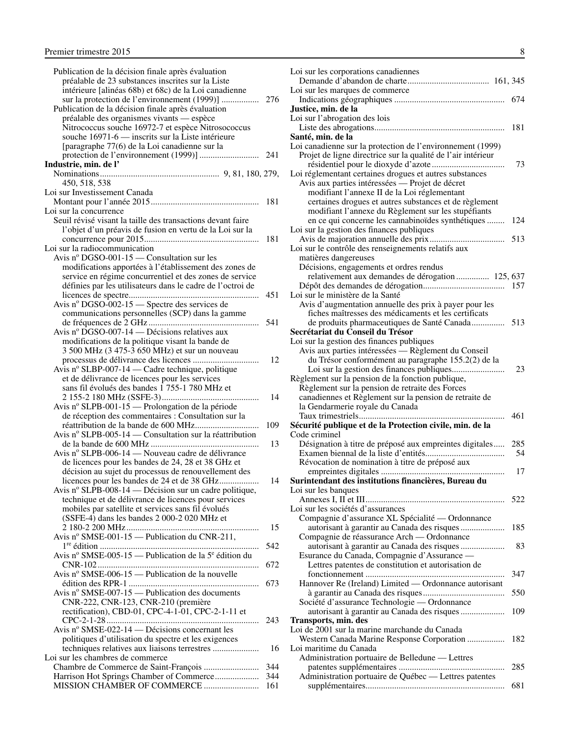| Publication de la décision finale après évaluation                          |     |
|-----------------------------------------------------------------------------|-----|
| préalable de 23 substances inscrites sur la Liste                           |     |
| intérieure [alinéas 68b) et 68c) de la Loi canadienne                       |     |
| sur la protection de l'environnement (1999)]                                | 276 |
| Publication de la décision finale après évaluation                          |     |
| préalable des organismes vivants — espèce                                   |     |
| Nitrococcus souche 16972-7 et espèce Nitrosococcus                          |     |
| souche 16971-6 — inscrits sur la Liste intérieure                           |     |
| [paragraphe 77(6) de la Loi canadienne sur la                               |     |
|                                                                             | 241 |
| Industrie, min. de l'                                                       |     |
|                                                                             |     |
| 450, 518, 538                                                               |     |
| Loi sur Investissement Canada                                               |     |
|                                                                             | 181 |
| Loi sur la concurrence                                                      |     |
| Seuil révisé visant la taille des transactions devant faire                 |     |
| l'objet d'un préavis de fusion en vertu de la Loi sur la                    | 181 |
|                                                                             |     |
| Loi sur la radiocommunication<br>Avis nº DGSO-001-15 — Consultation sur les |     |
|                                                                             |     |
| modifications apportées à l'établissement des zones de                      |     |
| service en régime concurrentiel et des zones de service                     |     |
| définies par les utilisateurs dans le cadre de l'octroi de                  | 451 |
| Avis nº DGSO-002-15 — Spectre des services de                               |     |
| communications personnelles (SCP) dans la gamme                             |     |
|                                                                             | 541 |
| Avis nº $\overline{\text{DGSO}}$ -007-14 — Décisions relatives aux          |     |
| modifications de la politique visant la bande de                            |     |
| 3 500 MHz (3 475-3 650 MHz) et sur un nouveau                               |     |
|                                                                             | 12  |
| Avis nº SLBP-007-14 — Cadre technique, politique                            |     |
| et de délivrance de licences pour les services                              |     |
| sans fil évolués des bandes 1 755-1 780 MHz et                              |     |
| .                                                                           | 14  |
| Avis nº SLPB-001-15 — Prolongation de la période                            |     |
| de réception des commentaires : Consultation sur la                         |     |
|                                                                             | 109 |
| Avis nº SLPB-005-14 — Consultation sur la réattribution                     |     |
|                                                                             | 13  |
| Avis nº SLPB-006-14 — Nouveau cadre de délivrance                           |     |
| de licences pour les bandes de 24, 28 et 38 GHz et                          |     |
| décision au sujet du processus de renouvellement des                        |     |
| licences pour les bandes de 24 et de 38 GHz                                 | 14  |
| Avis nº SLPB-008-14 — Décision sur un cadre politique,                      |     |
| technique et de délivrance de licences pour services                        |     |
| mobiles par satellite et services sans fil évolués                          |     |
| $(SSFE-4)$ dans les bandes 2 000-2 020 MHz et                               |     |
|                                                                             | 15  |
| Avis nº SMSE-001-15 — Publication du CNR-211,                               |     |
|                                                                             | 542 |
| Avis nº SMSE-005-15 — Publication de la 5 <sup>e</sup> édition du           |     |
|                                                                             | 672 |
| Avis nº SMSE-006-15 — Publication de la nouvelle                            |     |
|                                                                             | 673 |
| Avis nº SMSE-007-15 — Publication des documents                             |     |
| CNR-222, CNR-123, CNR-210 (première                                         |     |
| rectification), CBD-01, CPC-4-1-01, CPC-2-1-11 et                           |     |
|                                                                             | 243 |
| Avis nº SMSE-022-14 — Décisions concernant les                              |     |
| politiques d'utilisation du spectre et les exigences                        |     |
| techniques relatives aux liaisons terrestres                                | 16  |
| Loi sur les chambres de commerce                                            | 344 |
|                                                                             | 344 |
| Harrison Hot Springs Chamber of Commerce<br>MISSION CHÂMBER OF COMMERCE     | 161 |
|                                                                             |     |

| Loi sur les corporations canadiennes                                                               |     |
|----------------------------------------------------------------------------------------------------|-----|
|                                                                                                    |     |
| Loi sur les marques de commerce                                                                    |     |
|                                                                                                    |     |
| Justice, min. de la                                                                                |     |
| Loi sur l'abrogation des lois                                                                      |     |
| Santé, min. de la                                                                                  | 181 |
| Loi canadienne sur la protection de l'environnement (1999)                                         |     |
| Projet de ligne directrice sur la qualité de l'air intérieur                                       |     |
|                                                                                                    | 73  |
| Loi réglementant certaines drogues et autres substances                                            |     |
| Avis aux parties intéressées — Projet de décret                                                    |     |
| modifiant l'annexe II de la Loi réglementant                                                       |     |
| certaines drogues et autres substances et de règlement                                             |     |
| modifiant l'annexe du Règlement sur les stupéfiants                                                |     |
| en ce qui concerne les cannabinoïdes synthétiques                                                  | 124 |
| Loi sur la gestion des finances publiques                                                          |     |
|                                                                                                    |     |
| Loi sur le contrôle des renseignements relatifs aux                                                |     |
| matières dangereuses                                                                               |     |
| Décisions, engagements et ordres rendus                                                            |     |
| relativement aux demandes de dérogation  125, 637                                                  |     |
|                                                                                                    |     |
| Loi sur le ministère de la Santé                                                                   |     |
| Avis d'augmentation annuelle des prix à payer pour les                                             |     |
| fiches maîtresses des médicaments et les certificats                                               |     |
| de produits pharmaceutiques de Santé Canada 513                                                    |     |
| Secrétariat du Conseil du Trésor                                                                   |     |
| Loi sur la gestion des finances publiques                                                          |     |
| Avis aux parties intéressées — Règlement du Conseil                                                |     |
| du Trésor conformément au paragraphe 155.2(2) de la                                                | 23  |
| Règlement sur la pension de la fonction publique,                                                  |     |
| Règlement sur la pension de retraite des Forces                                                    |     |
| canadiennes et Règlement sur la pension de retraite de                                             |     |
| la Gendarmerie royale du Canada                                                                    |     |
|                                                                                                    | 461 |
| Sécurité publique et de la Protection civile, min. de la                                           |     |
| Code criminel                                                                                      |     |
| Désignation à titre de préposé aux empreintes digitales                                            | 285 |
| Examen biennal de la liste d'entités<br>.                                                          | 54  |
| Révocation de nomination à titre de préposé aux                                                    |     |
|                                                                                                    | 17  |
| Surintendant des institutions financières, Bureau du                                               |     |
| Loi sur les banques                                                                                |     |
|                                                                                                    | 522 |
| Loi sur les sociétés d'assurances                                                                  |     |
| Compagnie d'assurance XL Spécialité — Ordonnance                                                   |     |
| autorisant à garantir au Canada des risques                                                        | 185 |
| Compagnie de réassurance Arch — Ordonnance                                                         |     |
| autorisant à garantir au Canada des risques                                                        | 83  |
| Esurance du Canada, Compagnie d'Assurance —<br>Lettres patentes de constitution et autorisation de |     |
|                                                                                                    | 347 |
| Hannover Re (Ireland) Limited — Ordonnance autorisant                                              |     |
|                                                                                                    | 550 |
| Société d'assurance Technologie - Ordonnance                                                       |     |
| autorisant à garantir au Canada des risques                                                        | 109 |
| Transports, min. des                                                                               |     |
| Loi de 2001 sur la marine marchande du Canada                                                      |     |
| Western Canada Marine Response Corporation                                                         | 182 |
| Loi maritime du Canada                                                                             |     |
| Administration portuaire de Belledune — Lettres                                                    |     |
|                                                                                                    | 285 |
| Administration portuaire de Québec - Lettres patentes                                              |     |
|                                                                                                    | 681 |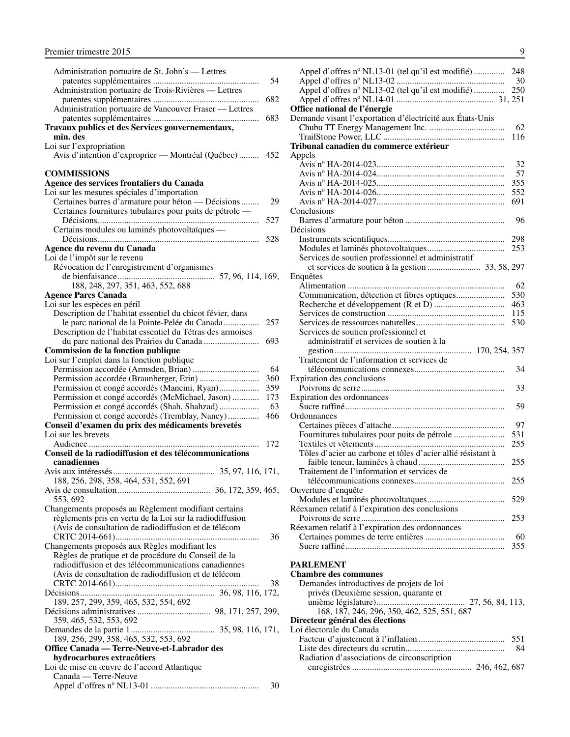<span id="page-10-0"></span>

| Administration portuaire de St. John's — Lettres                                    |  |
|-------------------------------------------------------------------------------------|--|
| 54                                                                                  |  |
| Administration portuaire de Trois-Rivières - Lettres                                |  |
| 682                                                                                 |  |
| Administration portuaire de Vancouver Fraser - Lettres                              |  |
| 683<br>Travaux publics et des Services gouvernementaux,                             |  |
| min. des                                                                            |  |
|                                                                                     |  |
| Loi sur l'expropriation<br>Avis d'intention d'exproprier — Montréal (Québec)<br>452 |  |
|                                                                                     |  |
| <b>COMMISSIONS</b>                                                                  |  |
| Agence des services frontaliers du Canada                                           |  |
| Loi sur les mesures spéciales d'importation                                         |  |
| Certaines barres d'armature pour béton — Décisions<br>29                            |  |
| Certaines fournitures tubulaires pour puits de pétrole —                            |  |
| 527                                                                                 |  |
| Certains modules ou laminés photovoltaïques -                                       |  |
| 528                                                                                 |  |
| Agence du revenu du Canada                                                          |  |
| Loi de l'impôt sur le revenu                                                        |  |
| Révocation de l'enregistrement d'organismes                                         |  |
|                                                                                     |  |
| 188, 248, 297, 351, 463, 552, 688                                                   |  |
| <b>Agence Parcs Canada</b>                                                          |  |
| Loi sur les espèces en péril                                                        |  |
| Description de l'habitat essentiel du chicot févier, dans                           |  |
| le parc national de la Pointe-Pelée du Canada<br>257                                |  |
| Description de l'habitat essentiel du Tétras des armoises                           |  |
| 693                                                                                 |  |
| Commission de la fonction publique                                                  |  |
| Loi sur l'emploi dans la fonction publique                                          |  |
| 64                                                                                  |  |
| 360                                                                                 |  |
| 359<br>Permission et congé accordés (Mancini, Ryan)                                 |  |
| 173<br>Permission et congé accordés (McMichael, Jason)                              |  |
| Permission et congé accordés (Shah, Shahzad)<br>63                                  |  |
| Permission et congé accordés (Tremblay, Nancy)<br>466                               |  |
| Conseil d'examen du prix des médicaments brevetés                                   |  |
| Loi sur les brevets                                                                 |  |
| 172                                                                                 |  |
| Conseil de la radiodiffusion et des télécommunications                              |  |
| canadiennes                                                                         |  |
| 188, 256, 298, 358, 464, 531, 552, 691                                              |  |
|                                                                                     |  |
| 553.692                                                                             |  |
| Changements proposés au Règlement modifiant certains                                |  |
| règlements pris en vertu de la Loi sur la radiodiffusion                            |  |
| (Avis de consultation de radiodiffusion et de télécom                               |  |
| 36                                                                                  |  |
| Changements proposés aux Règles modifiant les                                       |  |
| Règles de pratique et de procédure du Conseil de la                                 |  |
| radiodiffusion et des télécommunications canadiennes                                |  |
| (Avis de consultation de radiodiffusion et de télécom                               |  |
| 38                                                                                  |  |
|                                                                                     |  |
| 189, 257, 299, 359, 465, 532, 554, 692                                              |  |
|                                                                                     |  |
| 359, 465, 532, 553, 692                                                             |  |
|                                                                                     |  |
| 189, 256, 299, 358, 465, 532, 553, 692                                              |  |
| Office Canada - Terre-Neuve-et-Labrador des                                         |  |
| hydrocarbures extracôtiers                                                          |  |
| Loi de mise en œuvre de l'accord Atlantique                                         |  |
| Canada — Terre-Neuve                                                                |  |
| 30                                                                                  |  |

| Appel d'offres nº NL13-01 (tel qu'il est modifié)           | 248       |
|-------------------------------------------------------------|-----------|
|                                                             | 30        |
| Appel d'offres nº NL13-02 (tel qu'il est modifié)           | 250       |
|                                                             |           |
| Office national de l'énergie                                |           |
| Demande visant l'exportation d'électricité aux États-Unis   |           |
|                                                             | 62        |
|                                                             | 116       |
| Tribunal canadien du commerce extérieur                     |           |
| Appels                                                      |           |
|                                                             | 32        |
|                                                             | 57        |
|                                                             | 355       |
|                                                             | 552       |
|                                                             | 691       |
| Conclusions                                                 |           |
|                                                             | 96        |
| Décisions                                                   |           |
|                                                             | 298       |
|                                                             | 253       |
| Services de soutien professionnel et administratif          |           |
|                                                             |           |
| Enquêtes                                                    |           |
|                                                             | 62<br>530 |
|                                                             | 463       |
|                                                             | 115       |
|                                                             | 530       |
| Services de soutien professionnel et                        |           |
| administratif et services de soutien à la                   |           |
|                                                             |           |
| Traitement de l'information et services de                  |           |
|                                                             | 34        |
| Expiration des conclusions                                  |           |
|                                                             | 33        |
| Expiration des ordonnances                                  |           |
|                                                             | 59        |
| Ordonnances                                                 |           |
|                                                             | 97        |
| Fournitures tubulaires pour puits de pétrole                | 531       |
|                                                             | 255       |
| Tôles d'acier au carbone et tôles d'acier allié résistant à |           |
|                                                             | 255       |
| Traitement de l'information et services de                  |           |
|                                                             | 255       |
| Ouverture d'enquête                                         |           |
|                                                             | 529       |
| Réexamen relatif à l'expiration des conclusions             |           |
|                                                             | 253       |
| Réexamen relatif à l'expiration des ordonnances             |           |
|                                                             | 60        |
|                                                             | 355       |
|                                                             |           |
| <b>PARLEMENT</b>                                            |           |
| <b>Chambre des communes</b>                                 |           |
| Demandes introductives de projets de loi                    |           |

| Demandes introductives de projets de loi    |  |
|---------------------------------------------|--|
| privés (Deuxième session, quarante et       |  |
|                                             |  |
| 168, 187, 246, 296, 350, 462, 525, 551, 687 |  |
| Directeur général des élections             |  |
| Loi électorale du Canada                    |  |
|                                             |  |
| -84                                         |  |
| Radiation d'associations de circonscription |  |
|                                             |  |
|                                             |  |